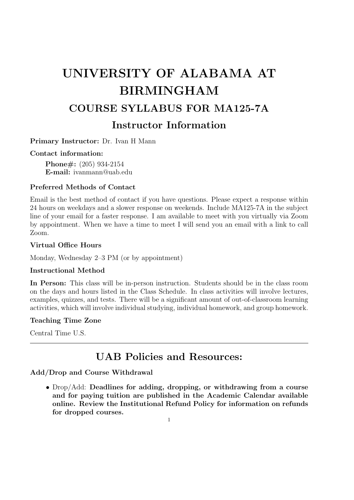# UNIVERSITY OF ALABAMA AT BIRMINGHAM COURSE SYLLABUS FOR MA125-7A Instructor Information

Primary Instructor: Dr. Ivan H Mann

# Contact information:

Phone#: (205) 934-2154 E-mail: ivanmann@uab.edu

# Preferred Methods of Contact

Email is the best method of contact if you have questions. Please expect a response within 24 hours on weekdays and a slower response on weekends. Include MA125-7A in the subject line of your email for a faster response. I am available to meet with you virtually via Zoom by appointment. When we have a time to meet I will send you an email with a link to call Zoom.

# Virtual Office Hours

Monday, Wednesday 2–3 PM (or by appointment)

# Instructional Method

In Person: This class will be in-person instruction. Students should be in the class room on the days and hours listed in the Class Schedule. In class activities will involve lectures, examples, quizzes, and tests. There will be a significant amount of out-of-classroom learning activities, which will involve individual studying, individual homework, and group homework.

# Teaching Time Zone

Central Time U.S.

# UAB Policies and Resources:

# Add/Drop and Course Withdrawal

• Drop/Add: Deadlines for adding, dropping, or withdrawing from a course and for paying tuition are published in the Academic Calendar available online. Review the Institutional Refund Policy for information on refunds for dropped courses.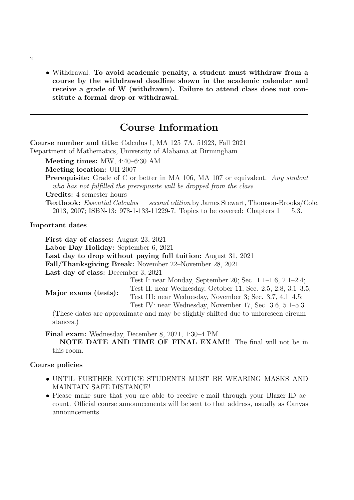• Withdrawal: To avoid academic penalty, a student must withdraw from a course by the withdrawal deadline shown in the academic calendar and receive a grade of W (withdrawn). Failure to attend class does not constitute a formal drop or withdrawal.

# Course Information

Course number and title: Calculus I, MA 125–7A, 51923, Fall 2021 Department of Mathematics, University of Alabama at Birmingham Meeting times: MW, 4:40–6:30 AM Meeting location: UH 2007 Prerequisite: Grade of C or better in MA 106, MA 107 or equivalent. Any student who has not fulfilled the prerequisite will be dropped from the class. Credits: 4 semester hours Textbook: Essential Calculus — second edition by James Stewart, Thomson-Brooks/Cole, 2013, 2007; ISBN-13: 978-1-133-11229-7. Topics to be covered: Chapters  $1 - 5.3$ . Important dates First day of classes: August 23, 2021 Labor Day Holiday: September 6, 2021 Last day to drop without paying full tuition: August 31, 2021 Fall/Thanksgiving Break: November 22–November 28, 2021 Last day of class: December 3, 2021 Major exams (tests): Test I: near Monday, September 20; Sec. 1.1–1.6, 2.1–2.4; Test II: near Wednesday, October 11; Sec. 2.5, 2.8, 3.1–3.5;

Test IV: near Wednesday, November 17, Sec. 3.6, 5.1–5.3. (These dates are approximate and may be slightly shifted due to unforeseen circumstances.)

Test III: near Wednesday, November 3; Sec. 3.7, 4.1–4.5;

#### Final exam: Wednesday, December 8, 2021, 1:30–4 PM

NOTE DATE AND TIME OF FINAL EXAM!! The final will not be in this room.

# Course policies

- UNTIL FURTHER NOTICE STUDENTS MUST BE WEARING MASKS AND MAINTAIN SAFE DISTANCE!
- Please make sure that you are able to receive e-mail through your Blazer-ID account. Official course announcements will be sent to that address, usually as Canvas announcements.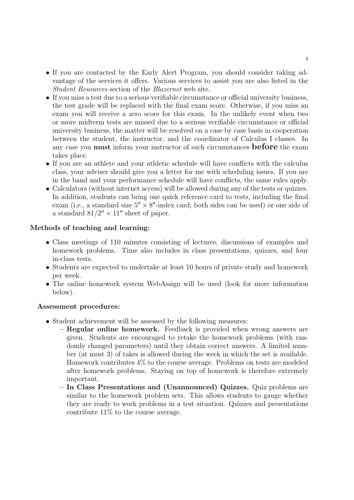- If you are contacted by the Early Alert Program, you should consider taking advantage of the services it offers. Various services to assist you are also listed in the Student Resources section of the Blazernet web site.
- If you miss a test due to a serious verifiable circumstance or official university business, the test grade will be replaced with the final exam score. Otherwise, if you miss an exam you will receive a zero score for this exam. In the unlikely event when two or more midterm tests are missed due to a serious verifiable circumstance or official university business, the matter will be resolved on a case by case basis in cooperation between the student, the instructor, and the coordinator of Calculus I classes. In any case you **must** inform your instructor of such circumstances **before** the exam takes place.
- If you are an athlete and your athletic schedule will have conflicts with the calculus class, your adviser should give you a letter for me with scheduling issues. If you are in the band and your performance schedule will have conflicts, the same rules apply.
- Calculators (without internet access) will be allowed during any of the tests or quizzes. In addition, students can bring one quick reference card to tests, including the final exam (i.e., a standard size  $5'' \times 8''$ -index card; both sides can be used) or one side of a standard  $81/2'' \times 11''$  sheet of paper.

# Methods of teaching and learning:

- Class meetings of 110 minutes consisting of lectures, discussions of examples and homework problems. Time also includes in class presentations, quizzes, and four in-class tests.
- Students are expected to undertake at least 10 hours of private study and homework per week.
- The online homework system WebAssign will be used (look for more information below).

# Assessment procedures:

- Student achievement will be assessed by the following measures:
	- Regular online homework. Feedback is provided when wrong answers are given. Students are encouraged to retake the homework problems (with randomly changed parameters) until they obtain correct answers. A limited number (at most 3) of takes is allowed during the week in which the set is available. Homework contributes 4% to the course average. Problems on tests are modeled after homework problems. Staying on top of homework is therefore extremely important.
	- In Class Presentations and (Unannounced) Quizzes. Quiz problems are similar to the homework problem sets. This allows students to gauge whether they are ready to work problems in a test situation. Quizzes and presentations contribute 11% to the course average.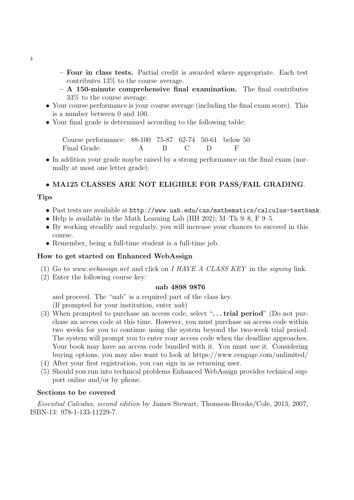- Four in class tests. Partial credit is awarded where appropriate. Each test contributes 13% to the course average.
- $A 150$ -minute comprehensive final examination. The final contributes 33% to the course average.
- Your course performance is your course average (including the final exam score). This is a number between 0 and 100.
- Your final grade is determined according to the following table:

Course performance: 88-100 75-87 62-74 50-61 below 50 Final Grade: A B C D F

• In addition your grade maybe raised by a strong performance on the final exam (normally at most one letter grade).

# • MA125 CLASSES ARE NOT ELIGIBLE FOR PASS/FAIL GRADING.

#### Tips

- Past tests are available at http://www.uab.edu/cas/mathematics/calculus-testbank.
- Help is available in the Math Learning Lab (HH 202); M–Th 9–8, F 9–5.
- By working steadily and regularly, you will increase your chances to succeed in this course.
- Remember, being a full-time student is a full-time job.

#### How to get started on Enhanced WebAssign

- (1) Go to www.webassign.net and click on I HAVE A CLASS KEY in the signing link.
- (2) Enter the following course key:

#### uab 4898 9876

and proceed. The "uab" is a required part of the class key.

(If prompted for your institution, enter uab)

- (3) When prompted to purchase an access code, select " $\dots$  trial period" (Do not purchase an access code at this time. However, you must purchase an access code within two weeks for you to continue using the system beyond the two-week trial period. The system will prompt you to enter your access code when the deadline approaches. Your book may have an access code bundled with it. You must use it. Considering buying options, you may also want to look at https://www.cengage.com/unlimited/
- (4) After your first registration, you can sign in as returning user.
- (5) Should you run into technical problems Enhanced WebAssign provides technical support online and/or by phone.

# Sections to be covered

Essential Calculus, second edition by James Stewart, Thomson-Brooks/Cole, 2013, 2007, ISBN-13: 978-1-133-11229-7.